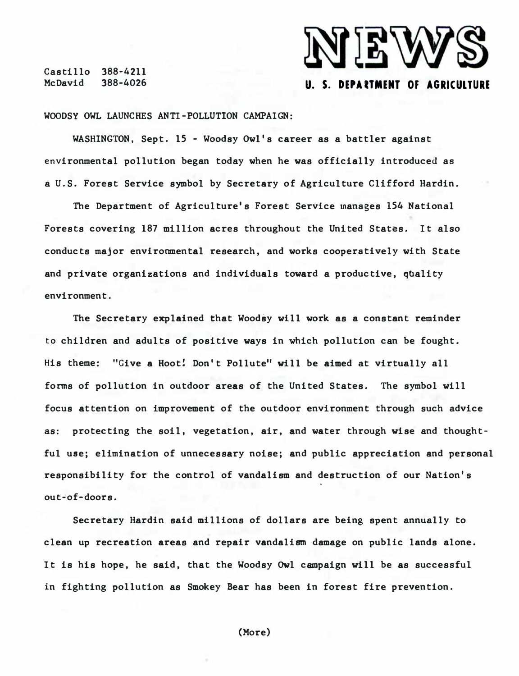Castillo 388-4211 McDavid 388-4026



WOODSY OWL LAUNCHES ANTI-POLLUTION CAMPAIGN:

WASHINGTON, Sept. 15 - Woodsy Owl's career as a battler against environmental pollution began today when he was officially introduced as a U.S. Forest Service symbol by Secretary of Agriculture Clifford Hardin.

The Department of Agriculture's Forest Service manages 154 National Forests covering 187 million acres throughout the United States. It also conducts major environmental research, and works cooperatively with State and private organizations and individuals toward a productive, quality environment .

The Secretary explained that Woodsy will work as a constant reminder to children and adults of positive ways in which pollution can be fought. His theme: "Give a Hoot! Don't Pollute" will be aimed at virtually all forms of pollution in outdoor areas of the United States. The symbol will focus attention on improvement of the outdoor environment through such advice as: protecting the soil, vegetation, air, and water through wise and thoughtful use; elimination of unnecessary noise; and public appreciation and personal responsibility for the control of vandalism and destruction of our Nation's out-of-doors.

Secretary Hardin said millions of dollars are being spent annually to clean up recreation areas and repair vandalism damage on public lands alone. It is his hope, he said, that the Woodsy Owl campaign will be as successful in fighting pollution as Smokey Bear has been in forest fire prevention.

(More)